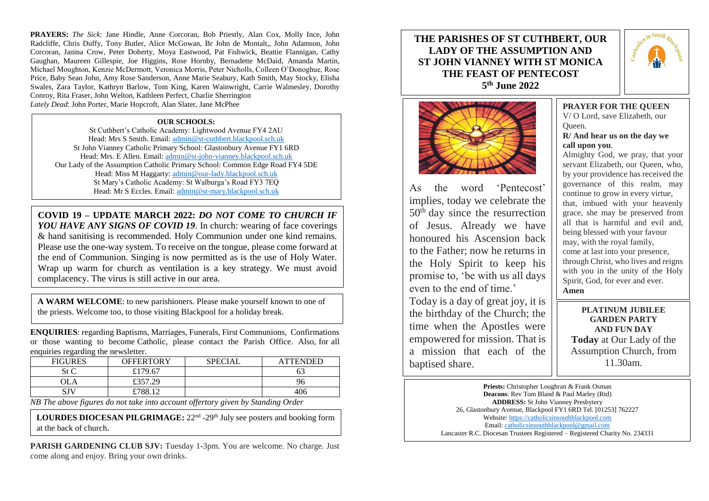**PRAYERS:** *The Sick*: Jane Hindle, Anne Corcoran, Bob Priestly, Alan Cox, Molly Ince, John Radcliffe, Chris Duffy, Tony Butler, Alice McGowan, Br John de Montalt,, John Adamson, John Corcoran, Janina Crow, Peter Doherty, Moya Eastwood, Pat Fishwick, Beattie Flannigan, Cathy Gaughan, Maureen Gillespie, Joe Higgins, Rose Hornby, Bernadette McDaid, Amanda Martin, Michael Moughton, Kenzie McDermott, Veronica Morris, Peter Nicholls, Colleen O'Donoghue, Rose Price, Baby Sean John, Amy Rose Sanderson, Anne Marie Seabury, Kath Smith, May Stocky, Elisha Swales, Zara Taylor, Kathryn Barlow, Tom King, Karen Wainwright, Carrie Walmesley, Dorothy Conroy, Rita Fraser, John Welton, Kathleen Perfect, Charlie Sherrington *Lately Dead*: John Porter, Marie Hopcroft, Alan Slater, Jane McPhee

#### **OUR SCHOOLS:**

St Cuthbert's Catholic Academy: Lightwood Avenue FY4 2AU Head: Mrs S Smith. Email: [admin@st-cuthbert.blackpool.sch.uk](mailto:admin@st-cuthbert.blackpool.sch.uk) St John Vianney Catholic Primary School: Glastonbury Avenue FY1 6RD Head: Mrs. E Allen. Email[: admin@st-john-vianney.blackpool.sch.uk](mailto:admin@st-john-vianney.blackpool.sch.uk) Our Lady of the Assumption Catholic Primary School: Common Edge Road FY4 5DE Head: Miss M Haggarty: [admin@our-lady.blackpool.sch.uk](mailto:admin@our-lady.blackpool.sch.uk) St Mary's Catholic Academy: St Walburga's Road FY3 7EQ Head: Mr S Eccles. Email: [admin@st-mary.blackpool.sch.uk](mailto:admin@st-mary.blackpool.sch.uk)

**COVID 19 – UPDATE MARCH 2022:** *DO NOT COME TO CHURCH IF YOU HAVE ANY SIGNS OF COVID 19*. In church: wearing of face coverings & hand sanitising is recommended. Holy Communion under one kind remains. Please use the one-way system. To receive on the tongue, please come forward at the end of Communion. Singing is now permitted as is the use of Holy Water. Wrap up warm for church as ventilation is a key strategy. We must avoid complacency. The virus is still active in our area.

**A WARM WELCOME**: to new parishioners. Please make yourself known to one of the priests. Welcome too, to those visiting Blackpool for a holiday break.

**ENQUIRIES**: regarding Baptisms, Marriages, Funerals, First Communions, Confirmations or those wanting to become Catholic, please contact the Parish Office. Also, for all enquiries regarding the newsletter.

| <b>FIGURES</b> | OFFERTORY | <b>SPECIAL</b> | <b>ATTENDED</b> |
|----------------|-----------|----------------|-----------------|
| St C           | £179.67   |                | ხპ              |
| ЭLA            | £357.29   |                | 96              |
| <b>SJV</b>     | °788.     |                | 406             |

*NB The above figures do not take into account offertory given by Standing Order* 

LOURDES DIOCESAN PILGRIMAGE: 22<sup>nd</sup> -29<sup>th</sup> July see posters and booking form at the back of church.

**PARISH GARDENING CLUB SJV:** Tuesday 1-3pm. You are welcome. No charge. Just come along and enjoy. Bring your own drinks.

## **THE PARISHES OF ST CUTHBERT, OUR LADY OF THE ASSUMPTION AND ST JOHN VIANNEY WITH ST MONICA THE FEAST OF PENTECOST 5 th June 2022**



# **PRAYER FOR THE QUEEN**

V/ O Lord, save Elizabeth, our Queen.

### **R/ And hear us on the day we call upon you**.

Almighty God, we pray, that your servant Elizabeth, our Queen, who, by your providence has received the governance of this realm, may continue to grow in every virtue, that, imbued with your heavenly grace, she may be preserved from all that is harmful and evil and, being blessed with your favour may, with the royal family, come at last into your presence, through Christ, who lives and reigns with you in the unity of the Holy Spirit, God, for ever and ever. **Amen**

**PLATINUM JUBILEE GARDEN PARTY AND FUN DAY Today** at Our Lady of the Assumption Church, from 11.30am.

**Priests:** Christopher Loughran & Frank Osman **Deacons**: Rev Tom Bland & Paul Marley (Rtd) **ADDRESS:** St John Vianney Presbytery 26, Glastonbury Avenue, Blackpool FY1 6RD Tel. [01253] 762227 Website[: https://catholicsinsouthblackpool.com](https://catholicsinsouthblackpool.com/) Email[: catholicsinsouthblackpool@gmail.com](mailto:catholicsinsouthblackpool@gmail.com) Lancaster R.C. Diocesan Trustees Registered – Registered Charity No. 234331



As the word 'Pentecost'

implies, today we celebrate the 50<sup>th</sup> day since the resurrection of Jesus. Already we have honoured his Ascension back to the Father; now he returns in the Holy Spirit to keep his promise to, 'be with us all days even to the end of time.' Today is a day of great joy, it is the birthday of the Church; the time when the Apostles were empowered for mission. That is a mission that each of the baptised share.